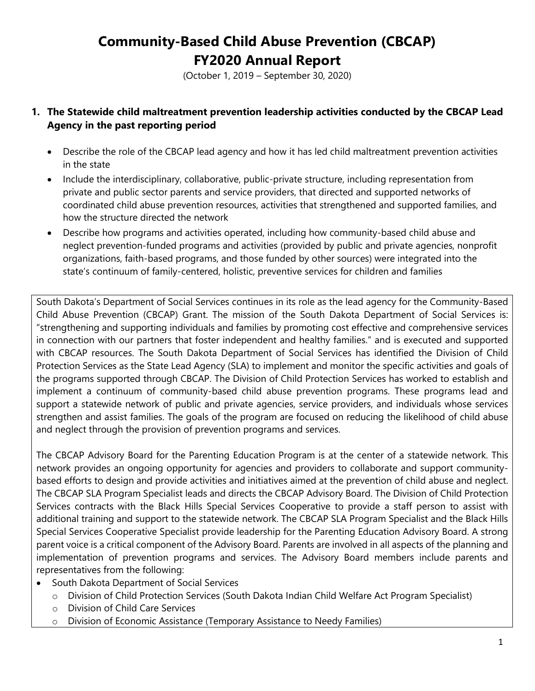(October 1, 2019 – September 30, 2020)

#### **1. The Statewide child maltreatment prevention leadership activities conducted by the CBCAP Lead Agency in the past reporting period**

- Describe the role of the CBCAP lead agency and how it has led child maltreatment prevention activities in the state
- Include the interdisciplinary, collaborative, public-private structure, including representation from private and public sector parents and service providers, that directed and supported networks of coordinated child abuse prevention resources, activities that strengthened and supported families, and how the structure directed the network
- Describe how programs and activities operated, including how community-based child abuse and neglect prevention-funded programs and activities (provided by public and private agencies, nonprofit organizations, faith-based programs, and those funded by other sources) were integrated into the state's continuum of family-centered, holistic, preventive services for children and families

South Dakota's Department of Social Services continues in its role as the lead agency for the Community-Based Child Abuse Prevention (CBCAP) Grant. The mission of the South Dakota Department of Social Services is: "strengthening and supporting individuals and families by promoting cost effective and comprehensive services in connection with our partners that foster independent and healthy families." and is executed and supported with CBCAP resources. The South Dakota Department of Social Services has identified the Division of Child Protection Services as the State Lead Agency (SLA) to implement and monitor the specific activities and goals of the programs supported through CBCAP. The Division of Child Protection Services has worked to establish and implement a continuum of community-based child abuse prevention programs. These programs lead and support a statewide network of public and private agencies, service providers, and individuals whose services strengthen and assist families. The goals of the program are focused on reducing the likelihood of child abuse and neglect through the provision of prevention programs and services.

The CBCAP Advisory Board for the Parenting Education Program is at the center of a statewide network. This network provides an ongoing opportunity for agencies and providers to collaborate and support communitybased efforts to design and provide activities and initiatives aimed at the prevention of child abuse and neglect. The CBCAP SLA Program Specialist leads and directs the CBCAP Advisory Board. The Division of Child Protection Services contracts with the Black Hills Special Services Cooperative to provide a staff person to assist with additional training and support to the statewide network. The CBCAP SLA Program Specialist and the Black Hills Special Services Cooperative Specialist provide leadership for the Parenting Education Advisory Board. A strong parent voice is a critical component of the Advisory Board. Parents are involved in all aspects of the planning and implementation of prevention programs and services. The Advisory Board members include parents and representatives from the following:

- South Dakota Department of Social Services
	- o Division of Child Protection Services (South Dakota Indian Child Welfare Act Program Specialist)
	- o Division of Child Care Services
	- o Division of Economic Assistance (Temporary Assistance to Needy Families)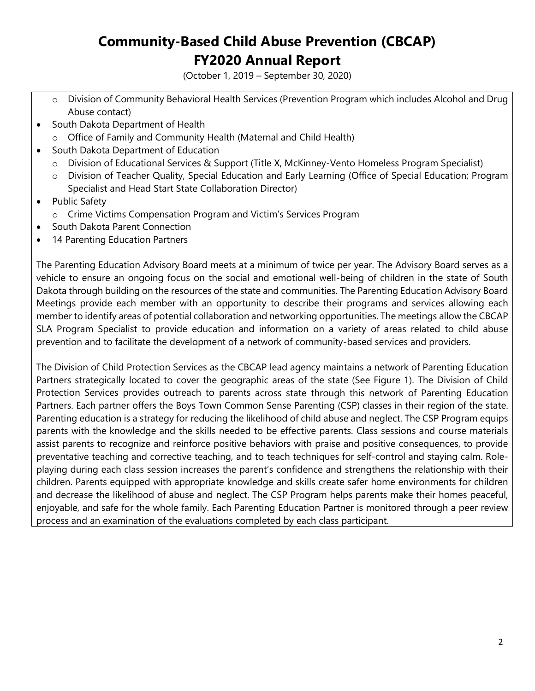(October 1, 2019 – September 30, 2020)

- o Division of Community Behavioral Health Services (Prevention Program which includes Alcohol and Drug Abuse contact)
- South Dakota Department of Health
	- o Office of Family and Community Health (Maternal and Child Health)
- South Dakota Department of Education
	- o Division of Educational Services & Support (Title X, McKinney-Vento Homeless Program Specialist)
	- o Division of Teacher Quality, Special Education and Early Learning (Office of Special Education; Program Specialist and Head Start State Collaboration Director)
- Public Safety
	- o Crime Victims Compensation Program and Victim's Services Program
- South Dakota Parent Connection
- 14 Parenting Education Partners

The Parenting Education Advisory Board meets at a minimum of twice per year. The Advisory Board serves as a vehicle to ensure an ongoing focus on the social and emotional well-being of children in the state of South Dakota through building on the resources of the state and communities. The Parenting Education Advisory Board Meetings provide each member with an opportunity to describe their programs and services allowing each member to identify areas of potential collaboration and networking opportunities. The meetings allow the CBCAP SLA Program Specialist to provide education and information on a variety of areas related to child abuse prevention and to facilitate the development of a network of community-based services and providers.

The Division of Child Protection Services as the CBCAP lead agency maintains a network of Parenting Education Partners strategically located to cover the geographic areas of the state (See Figure 1). The Division of Child Protection Services provides outreach to parents across state through this network of Parenting Education Partners. Each partner offers the Boys Town Common Sense Parenting (CSP) classes in their region of the state. Parenting education is a strategy for reducing the likelihood of child abuse and neglect. The CSP Program equips parents with the knowledge and the skills needed to be effective parents. Class sessions and course materials assist parents to recognize and reinforce positive behaviors with praise and positive consequences, to provide preventative teaching and corrective teaching, and to teach techniques for self-control and staying calm. Roleplaying during each class session increases the parent's confidence and strengthens the relationship with their children. Parents equipped with appropriate knowledge and skills create safer home environments for children and decrease the likelihood of abuse and neglect. The CSP Program helps parents make their homes peaceful, enjoyable, and safe for the whole family. Each Parenting Education Partner is monitored through a peer review process and an examination of the evaluations completed by each class participant.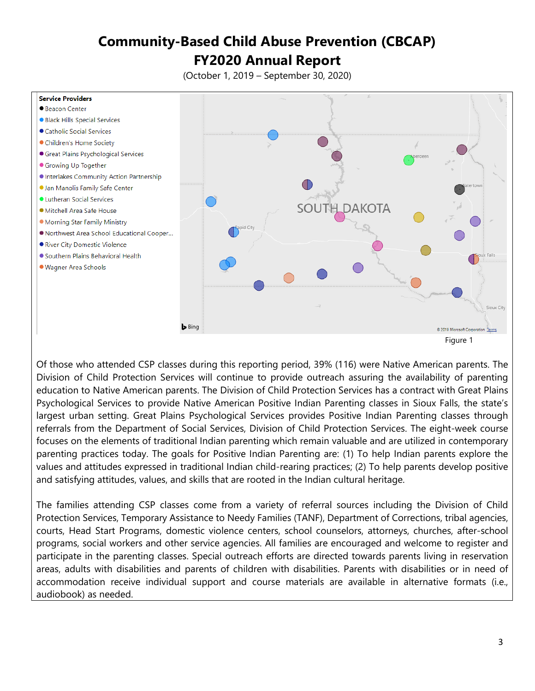(October 1, 2019 – September 30, 2020)



Of those who attended CSP classes during this reporting period, 39% (116) were Native American parents. The Division of Child Protection Services will continue to provide outreach assuring the availability of parenting education to Native American parents. The Division of Child Protection Services has a contract with Great Plains Psychological Services to provide Native American Positive Indian Parenting classes in Sioux Falls, the state's largest urban setting. Great Plains Psychological Services provides Positive Indian Parenting classes through referrals from the Department of Social Services, Division of Child Protection Services. The eight-week course focuses on the elements of traditional Indian parenting which remain valuable and are utilized in contemporary parenting practices today. The goals for Positive Indian Parenting are: (1) To help Indian parents explore the values and attitudes expressed in traditional Indian child-rearing practices; (2) To help parents develop positive and satisfying attitudes, values, and skills that are rooted in the Indian cultural heritage.

The families attending CSP classes come from a variety of referral sources including the Division of Child Protection Services, Temporary Assistance to Needy Families (TANF), Department of Corrections, tribal agencies, courts, Head Start Programs, domestic violence centers, school counselors, attorneys, churches, after-school programs, social workers and other service agencies. All families are encouraged and welcome to register and participate in the parenting classes. Special outreach efforts are directed towards parents living in reservation areas, adults with disabilities and parents of children with disabilities. Parents with disabilities or in need of accommodation receive individual support and course materials are available in alternative formats (i.e., audiobook) as needed.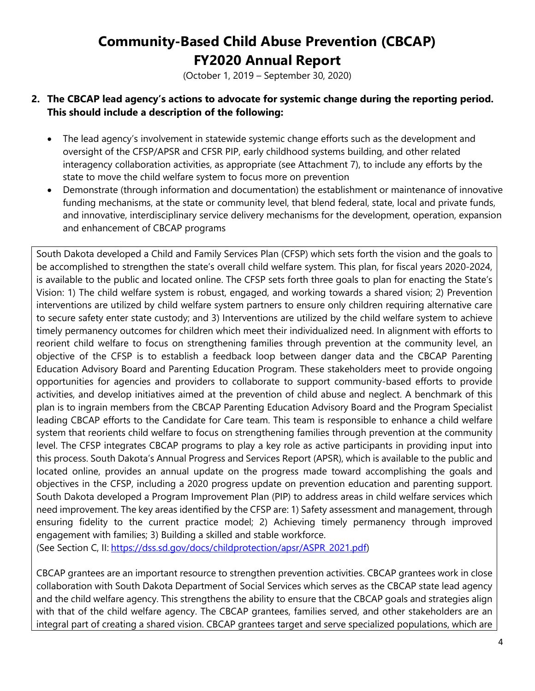(October 1, 2019 – September 30, 2020)

#### **2. The CBCAP lead agency's actions to advocate for systemic change during the reporting period. This should include a description of the following:**

- The lead agency's involvement in statewide systemic change efforts such as the development and oversight of the CFSP/APSR and CFSR PIP, early childhood systems building, and other related interagency collaboration activities, as appropriate (see Attachment 7), to include any efforts by the state to move the child welfare system to focus more on prevention
- Demonstrate (through information and documentation) the establishment or maintenance of innovative funding mechanisms, at the state or community level, that blend federal, state, local and private funds, and innovative, interdisciplinary service delivery mechanisms for the development, operation, expansion and enhancement of CBCAP programs

South Dakota developed a Child and Family Services Plan (CFSP) which sets forth the vision and the goals to be accomplished to strengthen the state's overall child welfare system. This plan, for fiscal years 2020-2024, is available to the public and located online. The CFSP sets forth three goals to plan for enacting the State's Vision: 1) The child welfare system is robust, engaged, and working towards a shared vision; 2) Prevention interventions are utilized by child welfare system partners to ensure only children requiring alternative care to secure safety enter state custody; and 3) Interventions are utilized by the child welfare system to achieve timely permanency outcomes for children which meet their individualized need. In alignment with efforts to reorient child welfare to focus on strengthening families through prevention at the community level, an objective of the CFSP is to establish a feedback loop between danger data and the CBCAP Parenting Education Advisory Board and Parenting Education Program. These stakeholders meet to provide ongoing opportunities for agencies and providers to collaborate to support community-based efforts to provide activities, and develop initiatives aimed at the prevention of child abuse and neglect. A benchmark of this plan is to ingrain members from the CBCAP Parenting Education Advisory Board and the Program Specialist leading CBCAP efforts to the Candidate for Care team. This team is responsible to enhance a child welfare system that reorients child welfare to focus on strengthening families through prevention at the community level. The CFSP integrates CBCAP programs to play a key role as active participants in providing input into this process. South Dakota's Annual Progress and Services Report (APSR), which is available to the public and located online, provides an annual update on the progress made toward accomplishing the goals and objectives in the CFSP, including a 2020 progress update on prevention education and parenting support. South Dakota developed a Program Improvement Plan (PIP) to address areas in child welfare services which need improvement. The key areas identified by the CFSP are: 1) Safety assessment and management, through ensuring fidelity to the current practice model; 2) Achieving timely permanency through improved engagement with families; 3) Building a skilled and stable workforce.

(See Section C, II: [https://dss.sd.gov/docs/childprotection/apsr/ASPR\\_2021.pdf\)](https://dss.sd.gov/docs/childprotection/apsr/ASPR_2021.pdf)

CBCAP grantees are an important resource to strengthen prevention activities. CBCAP grantees work in close collaboration with South Dakota Department of Social Services which serves as the CBCAP state lead agency and the child welfare agency. This strengthens the ability to ensure that the CBCAP goals and strategies align with that of the child welfare agency. The CBCAP grantees, families served, and other stakeholders are an integral part of creating a shared vision. CBCAP grantees target and serve specialized populations, which are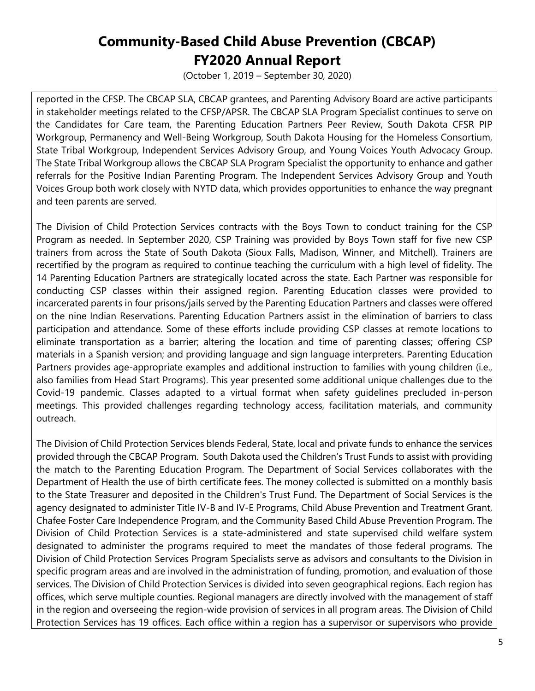(October 1, 2019 – September 30, 2020)

reported in the CFSP. The CBCAP SLA, CBCAP grantees, and Parenting Advisory Board are active participants in stakeholder meetings related to the CFSP/APSR. The CBCAP SLA Program Specialist continues to serve on the Candidates for Care team, the Parenting Education Partners Peer Review, South Dakota CFSR PIP Workgroup, Permanency and Well-Being Workgroup, South Dakota Housing for the Homeless Consortium, State Tribal Workgroup, Independent Services Advisory Group, and Young Voices Youth Advocacy Group. The State Tribal Workgroup allows the CBCAP SLA Program Specialist the opportunity to enhance and gather referrals for the Positive Indian Parenting Program. The Independent Services Advisory Group and Youth Voices Group both work closely with NYTD data, which provides opportunities to enhance the way pregnant and teen parents are served.

The Division of Child Protection Services contracts with the Boys Town to conduct training for the CSP Program as needed. In September 2020, CSP Training was provided by Boys Town staff for five new CSP trainers from across the State of South Dakota (Sioux Falls, Madison, Winner, and Mitchell). Trainers are recertified by the program as required to continue teaching the curriculum with a high level of fidelity. The 14 Parenting Education Partners are strategically located across the state. Each Partner was responsible for conducting CSP classes within their assigned region. Parenting Education classes were provided to incarcerated parents in four prisons/jails served by the Parenting Education Partners and classes were offered on the nine Indian Reservations. Parenting Education Partners assist in the elimination of barriers to class participation and attendance. Some of these efforts include providing CSP classes at remote locations to eliminate transportation as a barrier; altering the location and time of parenting classes; offering CSP materials in a Spanish version; and providing language and sign language interpreters. Parenting Education Partners provides age-appropriate examples and additional instruction to families with young children (i.e., also families from Head Start Programs). This year presented some additional unique challenges due to the Covid-19 pandemic. Classes adapted to a virtual format when safety guidelines precluded in-person meetings. This provided challenges regarding technology access, facilitation materials, and community outreach.

The Division of Child Protection Services blends Federal, State, local and private funds to enhance the services provided through the CBCAP Program. South Dakota used the Children's Trust Funds to assist with providing the match to the Parenting Education Program. The Department of Social Services collaborates with the Department of Health the use of birth certificate fees. The money collected is submitted on a monthly basis to the State Treasurer and deposited in the Children's Trust Fund. The Department of Social Services is the agency designated to administer Title IV-B and IV-E Programs, Child Abuse Prevention and Treatment Grant, Chafee Foster Care Independence Program, and the Community Based Child Abuse Prevention Program. The Division of Child Protection Services is a state-administered and state supervised child welfare system designated to administer the programs required to meet the mandates of those federal programs. The Division of Child Protection Services Program Specialists serve as advisors and consultants to the Division in specific program areas and are involved in the administration of funding, promotion, and evaluation of those services. The Division of Child Protection Services is divided into seven geographical regions. Each region has offices, which serve multiple counties. Regional managers are directly involved with the management of staff in the region and overseeing the region-wide provision of services in all program areas. The Division of Child Protection Services has 19 offices. Each office within a region has a supervisor or supervisors who provide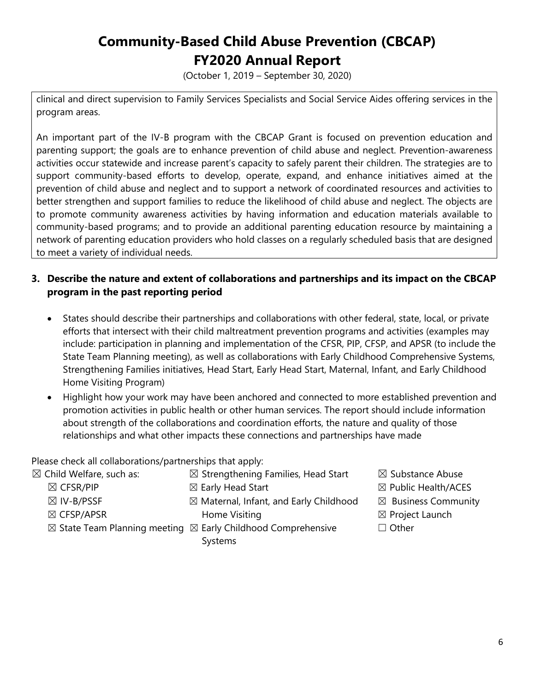(October 1, 2019 – September 30, 2020)

clinical and direct supervision to Family Services Specialists and Social Service Aides offering services in the program areas.

An important part of the IV-B program with the CBCAP Grant is focused on prevention education and parenting support; the goals are to enhance prevention of child abuse and neglect. Prevention-awareness activities occur statewide and increase parent's capacity to safely parent their children. The strategies are to support community-based efforts to develop, operate, expand, and enhance initiatives aimed at the prevention of child abuse and neglect and to support a network of coordinated resources and activities to better strengthen and support families to reduce the likelihood of child abuse and neglect. The objects are to promote community awareness activities by having information and education materials available to community-based programs; and to provide an additional parenting education resource by maintaining a network of parenting education providers who hold classes on a regularly scheduled basis that are designed to meet a variety of individual needs.

#### **3. Describe the nature and extent of collaborations and partnerships and its impact on the CBCAP program in the past reporting period**

- States should describe their partnerships and collaborations with other federal, state, local, or private efforts that intersect with their child maltreatment prevention programs and activities (examples may include: participation in planning and implementation of the CFSR, PIP, CFSP, and APSR (to include the State Team Planning meeting), as well as collaborations with Early Childhood Comprehensive Systems, Strengthening Families initiatives, Head Start, Early Head Start, Maternal, Infant, and Early Childhood Home Visiting Program)
- Highlight how your work may have been anchored and connected to more established prevention and promotion activities in public health or other human services. The report should include information about strength of the collaborations and coordination efforts, the nature and quality of those relationships and what other impacts these connections and partnerships have made

Please check all collaborations/partnerships that apply:

- $\boxtimes$  Child Welfare, such as:  $\boxtimes$  Strengthening Families, Head Start  $\boxtimes$  Substance Abuse
	-
	-
	-
	- $\boxtimes$  IV-B/PSSF  $\boxtimes$  Maternal, Infant, and Early Childhood  $\boxtimes$  Business Community ☒ CFSP/APSR Home Visiting ☒ Project Launch
	- $\boxtimes$  State Team Planning meeting  $\boxtimes$  Early Childhood Comprehensive  $\Box$  Other
		- Systems
- 
- $\boxtimes$  CFSR/PIP  $\qquad \qquad \boxtimes$  Early Head Start  $\qquad \qquad \boxtimes$  Public Health/ACES
	-
	-
	-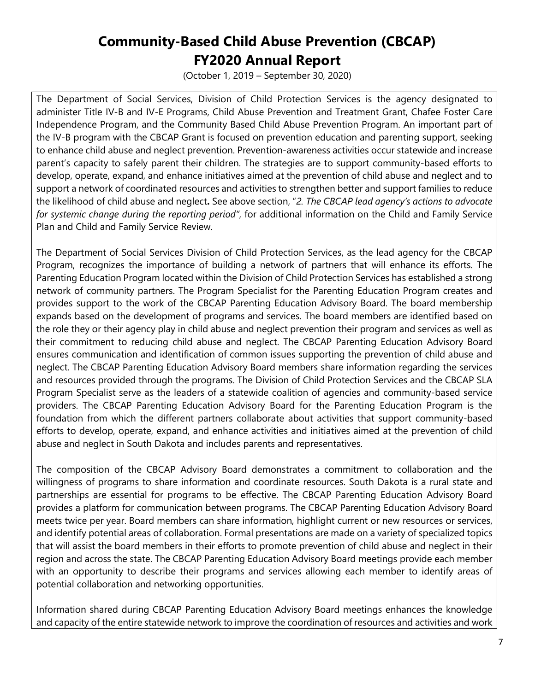(October 1, 2019 – September 30, 2020)

The Department of Social Services, Division of Child Protection Services is the agency designated to administer Title IV-B and IV-E Programs, Child Abuse Prevention and Treatment Grant, Chafee Foster Care Independence Program, and the Community Based Child Abuse Prevention Program. An important part of the IV-B program with the CBCAP Grant is focused on prevention education and parenting support, seeking to enhance child abuse and neglect prevention. Prevention-awareness activities occur statewide and increase parent's capacity to safely parent their children. The strategies are to support community-based efforts to develop, operate, expand, and enhance initiatives aimed at the prevention of child abuse and neglect and to support a network of coordinated resources and activities to strengthen better and support families to reduce the likelihood of child abuse and neglect**.** See above section, "*2. The CBCAP lead agency's actions to advocate for systemic change during the reporting period"*, for additional information on the Child and Family Service Plan and Child and Family Service Review.

The Department of Social Services Division of Child Protection Services, as the lead agency for the CBCAP Program, recognizes the importance of building a network of partners that will enhance its efforts. The Parenting Education Program located within the Division of Child Protection Services has established a strong network of community partners. The Program Specialist for the Parenting Education Program creates and provides support to the work of the CBCAP Parenting Education Advisory Board. The board membership expands based on the development of programs and services. The board members are identified based on the role they or their agency play in child abuse and neglect prevention their program and services as well as their commitment to reducing child abuse and neglect. The CBCAP Parenting Education Advisory Board ensures communication and identification of common issues supporting the prevention of child abuse and neglect. The CBCAP Parenting Education Advisory Board members share information regarding the services and resources provided through the programs. The Division of Child Protection Services and the CBCAP SLA Program Specialist serve as the leaders of a statewide coalition of agencies and community-based service providers. The CBCAP Parenting Education Advisory Board for the Parenting Education Program is the foundation from which the different partners collaborate about activities that support community-based efforts to develop, operate, expand, and enhance activities and initiatives aimed at the prevention of child abuse and neglect in South Dakota and includes parents and representatives.

The composition of the CBCAP Advisory Board demonstrates a commitment to collaboration and the willingness of programs to share information and coordinate resources. South Dakota is a rural state and partnerships are essential for programs to be effective. The CBCAP Parenting Education Advisory Board provides a platform for communication between programs. The CBCAP Parenting Education Advisory Board meets twice per year. Board members can share information, highlight current or new resources or services, and identify potential areas of collaboration. Formal presentations are made on a variety of specialized topics that will assist the board members in their efforts to promote prevention of child abuse and neglect in their region and across the state. The CBCAP Parenting Education Advisory Board meetings provide each member with an opportunity to describe their programs and services allowing each member to identify areas of potential collaboration and networking opportunities.

Information shared during CBCAP Parenting Education Advisory Board meetings enhances the knowledge and capacity of the entire statewide network to improve the coordination of resources and activities and work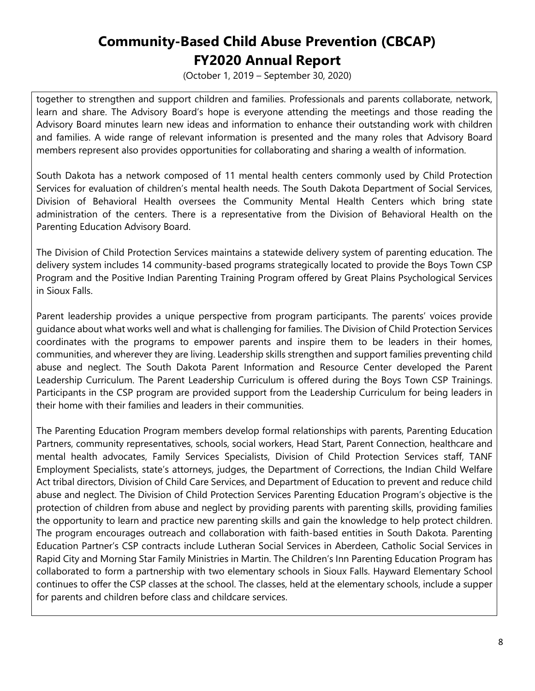(October 1, 2019 – September 30, 2020)

together to strengthen and support children and families. Professionals and parents collaborate, network, learn and share. The Advisory Board's hope is everyone attending the meetings and those reading the Advisory Board minutes learn new ideas and information to enhance their outstanding work with children and families. A wide range of relevant information is presented and the many roles that Advisory Board members represent also provides opportunities for collaborating and sharing a wealth of information.

South Dakota has a network composed of 11 mental health centers commonly used by Child Protection Services for evaluation of children's mental health needs. The South Dakota Department of Social Services, Division of Behavioral Health oversees the Community Mental Health Centers which bring state administration of the centers. There is a representative from the Division of Behavioral Health on the Parenting Education Advisory Board.

The Division of Child Protection Services maintains a statewide delivery system of parenting education. The delivery system includes 14 community-based programs strategically located to provide the Boys Town CSP Program and the Positive Indian Parenting Training Program offered by Great Plains Psychological Services in Sioux Falls.

Parent leadership provides a unique perspective from program participants. The parents' voices provide guidance about what works well and what is challenging for families. The Division of Child Protection Services coordinates with the programs to empower parents and inspire them to be leaders in their homes, communities, and wherever they are living. Leadership skills strengthen and support families preventing child abuse and neglect. The South Dakota Parent Information and Resource Center developed the Parent Leadership Curriculum. The Parent Leadership Curriculum is offered during the Boys Town CSP Trainings. Participants in the CSP program are provided support from the Leadership Curriculum for being leaders in their home with their families and leaders in their communities.

The Parenting Education Program members develop formal relationships with parents, Parenting Education Partners, community representatives, schools, social workers, Head Start, Parent Connection, healthcare and mental health advocates, Family Services Specialists, Division of Child Protection Services staff, TANF Employment Specialists, state's attorneys, judges, the Department of Corrections, the Indian Child Welfare Act tribal directors, Division of Child Care Services, and Department of Education to prevent and reduce child abuse and neglect. The Division of Child Protection Services Parenting Education Program's objective is the protection of children from abuse and neglect by providing parents with parenting skills, providing families the opportunity to learn and practice new parenting skills and gain the knowledge to help protect children. The program encourages outreach and collaboration with faith-based entities in South Dakota. Parenting Education Partner's CSP contracts include Lutheran Social Services in Aberdeen, Catholic Social Services in Rapid City and Morning Star Family Ministries in Martin. The Children's Inn Parenting Education Program has collaborated to form a partnership with two elementary schools in Sioux Falls. Hayward Elementary School continues to offer the CSP classes at the school. The classes, held at the elementary schools, include a supper for parents and children before class and childcare services.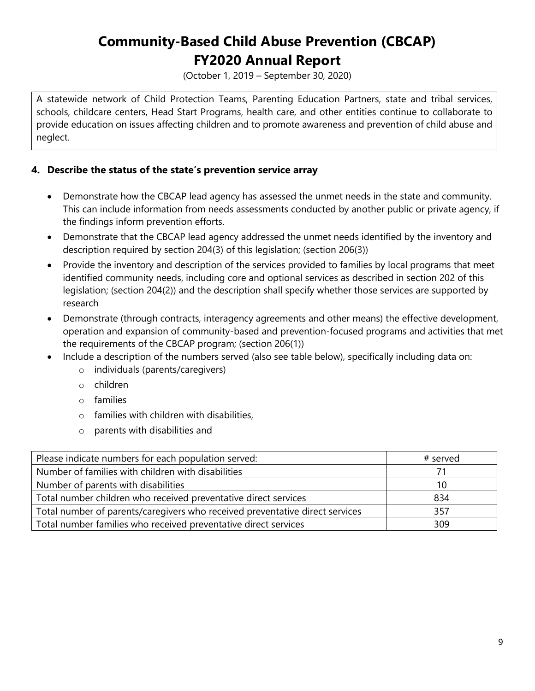(October 1, 2019 – September 30, 2020)

A statewide network of Child Protection Teams, Parenting Education Partners, state and tribal services, schools, childcare centers, Head Start Programs, health care, and other entities continue to collaborate to provide education on issues affecting children and to promote awareness and prevention of child abuse and neglect.

#### **4. Describe the status of the state's prevention service array**

- Demonstrate how the CBCAP lead agency has assessed the unmet needs in the state and community. This can include information from needs assessments conducted by another public or private agency, if the findings inform prevention efforts.
- Demonstrate that the CBCAP lead agency addressed the unmet needs identified by the inventory and description required by section 204(3) of this legislation; (section 206(3))
- Provide the inventory and description of the services provided to families by local programs that meet identified community needs, including core and optional services as described in section 202 of this legislation; (section 204(2)) and the description shall specify whether those services are supported by research
- Demonstrate (through contracts, interagency agreements and other means) the effective development, operation and expansion of community-based and prevention-focused programs and activities that met the requirements of the CBCAP program; (section 206(1))
- Include a description of the numbers served (also see table below), specifically including data on:
	- o individuals (parents/caregivers)
	- o children
	- o families
	- o families with children with disabilities,
	- o parents with disabilities and

| Please indicate numbers for each population served:                          | # served |
|------------------------------------------------------------------------------|----------|
| Number of families with children with disabilities                           |          |
| Number of parents with disabilities                                          | 10       |
| Total number children who received preventative direct services              | 834      |
| Total number of parents/caregivers who received preventative direct services | 357      |
| Total number families who received preventative direct services              | 309      |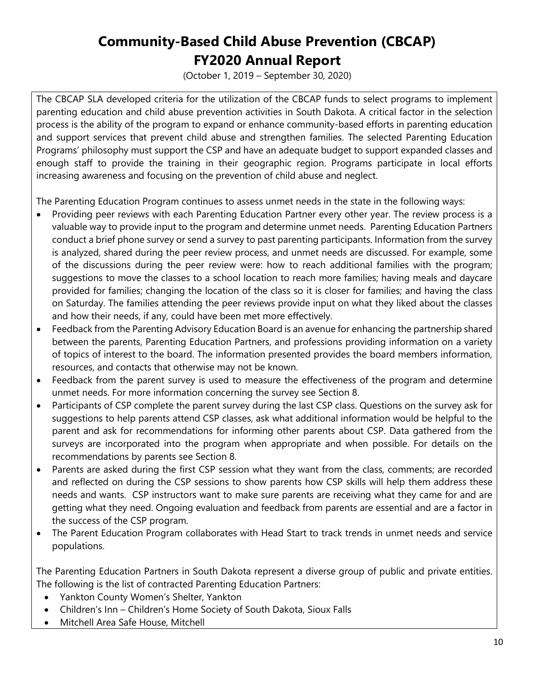(October 1, 2019 – September 30, 2020)

The CBCAP SLA developed criteria for the utilization of the CBCAP funds to select programs to implement parenting education and child abuse prevention activities in South Dakota. A critical factor in the selection process is the ability of the program to expand or enhance community-based efforts in parenting education and support services that prevent child abuse and strengthen families. The selected Parenting Education Programs' philosophy must support the CSP and have an adequate budget to support expanded classes and enough staff to provide the training in their geographic region. Programs participate in local efforts increasing awareness and focusing on the prevention of child abuse and neglect.

The Parenting Education Program continues to assess unmet needs in the state in the following ways:

- Providing peer reviews with each Parenting Education Partner every other year. The review process is a valuable way to provide input to the program and determine unmet needs. Parenting Education Partners conduct a brief phone survey or send a survey to past parenting participants. Information from the survey is analyzed, shared during the peer review process, and unmet needs are discussed. For example, some of the discussions during the peer review were: how to reach additional families with the program; suggestions to move the classes to a school location to reach more families; having meals and daycare provided for families; changing the location of the class so it is closer for families; and having the class on Saturday. The families attending the peer reviews provide input on what they liked about the classes and how their needs, if any, could have been met more effectively.
- Feedback from the Parenting Advisory Education Board is an avenue for enhancing the partnership shared between the parents, Parenting Education Partners, and professions providing information on a variety of topics of interest to the board. The information presented provides the board members information, resources, and contacts that otherwise may not be known.
- Feedback from the parent survey is used to measure the effectiveness of the program and determine unmet needs. For more information concerning the survey see Section 8.
- Participants of CSP complete the parent survey during the last CSP class. Questions on the survey ask for suggestions to help parents attend CSP classes, ask what additional information would be helpful to the parent and ask for recommendations for informing other parents about CSP. Data gathered from the surveys are incorporated into the program when appropriate and when possible. For details on the recommendations by parents see Section 8.
- Parents are asked during the first CSP session what they want from the class, comments; are recorded and reflected on during the CSP sessions to show parents how CSP skills will help them address these needs and wants. CSP instructors want to make sure parents are receiving what they came for and are getting what they need. Ongoing evaluation and feedback from parents are essential and are a factor in the success of the CSP program.
- The Parent Education Program collaborates with Head Start to track trends in unmet needs and service populations.

The Parenting Education Partners in South Dakota represent a diverse group of public and private entities. The following is the list of contracted Parenting Education Partners:

- Yankton County Women's Shelter, Yankton
- Children's Inn Children's Home Society of South Dakota, Sioux Falls
- Mitchell Area Safe House, Mitchell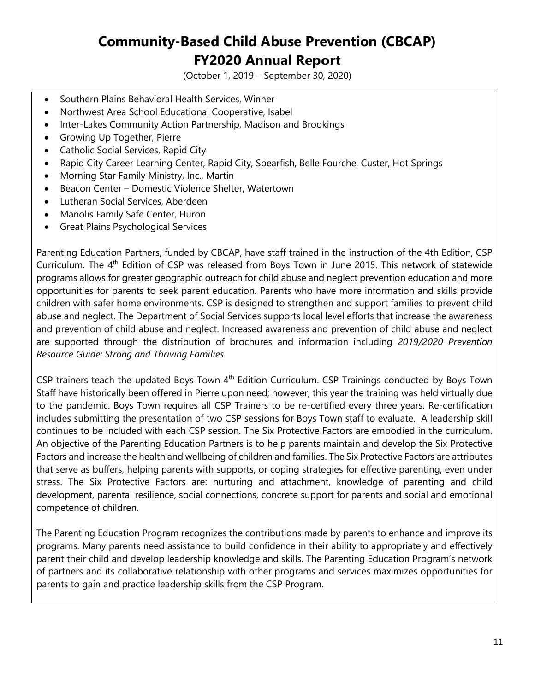(October 1, 2019 – September 30, 2020)

- Southern Plains Behavioral Health Services, Winner
- Northwest Area School Educational Cooperative, Isabel
- Inter-Lakes Community Action Partnership, Madison and Brookings
- Growing Up Together, Pierre
- Catholic Social Services, Rapid City
- Rapid City Career Learning Center, Rapid City, Spearfish, Belle Fourche, Custer, Hot Springs
- Morning Star Family Ministry, Inc., Martin
- Beacon Center Domestic Violence Shelter, Watertown
- Lutheran Social Services, Aberdeen
- Manolis Family Safe Center, Huron
- Great Plains Psychological Services

Parenting Education Partners, funded by CBCAP, have staff trained in the instruction of the 4th Edition, CSP Curriculum. The 4<sup>th</sup> Edition of CSP was released from Boys Town in June 2015. This network of statewide programs allows for greater geographic outreach for child abuse and neglect prevention education and more opportunities for parents to seek parent education. Parents who have more information and skills provide children with safer home environments. CSP is designed to strengthen and support families to prevent child abuse and neglect. The Department of Social Services supports local level efforts that increase the awareness and prevention of child abuse and neglect. Increased awareness and prevention of child abuse and neglect are supported through the distribution of brochures and information including *2019/2020 Prevention Resource Guide: Strong and Thriving Families.*

CSP trainers teach the updated Boys Town  $4<sup>th</sup>$  Edition Curriculum. CSP Trainings conducted by Boys Town Staff have historically been offered in Pierre upon need; however, this year the training was held virtually due to the pandemic. Boys Town requires all CSP Trainers to be re-certified every three years. Re-certification includes submitting the presentation of two CSP sessions for Boys Town staff to evaluate. A leadership skill continues to be included with each CSP session. The Six Protective Factors are embodied in the curriculum. An objective of the Parenting Education Partners is to help parents maintain and develop the Six Protective Factors and increase the health and wellbeing of children and families. The Six Protective Factors are attributes that serve as buffers, helping parents with supports, or coping strategies for effective parenting, even under stress. The Six Protective Factors are: nurturing and attachment, knowledge of parenting and child development, parental resilience, social connections, concrete support for parents and social and emotional competence of children.

The Parenting Education Program recognizes the contributions made by parents to enhance and improve its programs. Many parents need assistance to build confidence in their ability to appropriately and effectively parent their child and develop leadership knowledge and skills. The Parenting Education Program's network of partners and its collaborative relationship with other programs and services maximizes opportunities for parents to gain and practice leadership skills from the CSP Program.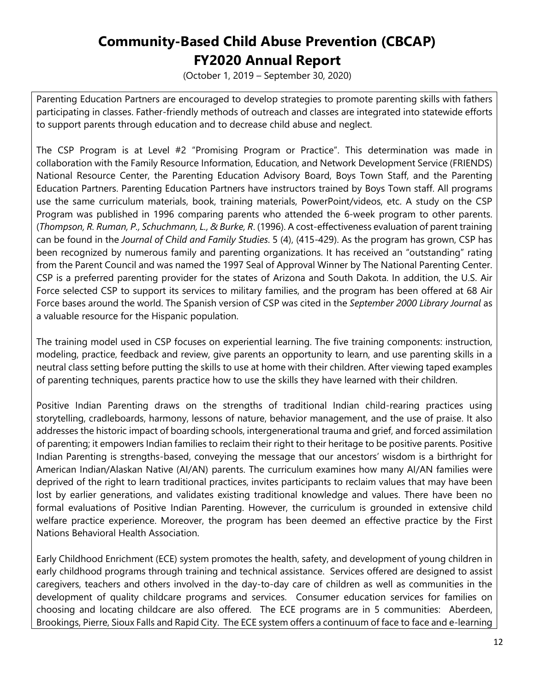(October 1, 2019 – September 30, 2020)

Parenting Education Partners are encouraged to develop strategies to promote parenting skills with fathers participating in classes. Father-friendly methods of outreach and classes are integrated into statewide efforts to support parents through education and to decrease child abuse and neglect.

The CSP Program is at Level #2 "Promising Program or Practice". This determination was made in collaboration with the Family Resource Information, Education, and Network Development Service (FRIENDS) National Resource Center, the Parenting Education Advisory Board, Boys Town Staff, and the Parenting Education Partners. Parenting Education Partners have instructors trained by Boys Town staff. All programs use the same curriculum materials, book, training materials, PowerPoint/videos, etc. A study on the CSP Program was published in 1996 comparing parents who attended the 6-week program to other parents. (*Thompson, R. Ruman, P., Schuchmann, L., & Burke, R*. (1996). A cost-effectiveness evaluation of parent training can be found in the *Journal of Child and Family Studies*. 5 (4), (415-429). As the program has grown, CSP has been recognized by numerous family and parenting organizations. It has received an "outstanding" rating from the Parent Council and was named the 1997 Seal of Approval Winner by The National Parenting Center. CSP is a preferred parenting provider for the states of Arizona and South Dakota. In addition, the U.S. Air Force selected CSP to support its services to military families, and the program has been offered at 68 Air Force bases around the world. The Spanish version of CSP was cited in the *September 2000 Library Journal* as a valuable resource for the Hispanic population.

The training model used in CSP focuses on experiential learning. The five training components: instruction, modeling, practice, feedback and review, give parents an opportunity to learn, and use parenting skills in a neutral class setting before putting the skills to use at home with their children. After viewing taped examples of parenting techniques, parents practice how to use the skills they have learned with their children.

Positive Indian Parenting draws on the strengths of traditional Indian child-rearing practices using storytelling, cradleboards, harmony, lessons of nature, behavior management, and the use of praise. It also addresses the historic impact of boarding schools, intergenerational trauma and grief, and forced assimilation of parenting; it empowers Indian families to reclaim their right to their heritage to be positive parents. Positive Indian Parenting is strengths-based, conveying the message that our ancestors' wisdom is a birthright for American Indian/Alaskan Native (AI/AN) parents. The curriculum examines how many AI/AN families were deprived of the right to learn traditional practices, invites participants to reclaim values that may have been lost by earlier generations, and validates existing traditional knowledge and values. There have been no formal evaluations of Positive Indian Parenting. However, the curriculum is grounded in extensive child welfare practice experience. Moreover, the program has been deemed an effective practice by the First Nations Behavioral Health Association.

Early Childhood Enrichment (ECE) system promotes the health, safety, and development of young children in early childhood programs through training and technical assistance. Services offered are designed to assist caregivers, teachers and others involved in the day-to-day care of children as well as communities in the development of quality childcare programs and services. Consumer education services for families on choosing and locating childcare are also offered. The ECE programs are in 5 communities: Aberdeen, Brookings, Pierre, Sioux Falls and Rapid City. The ECE system offers a continuum of face to face and e-learning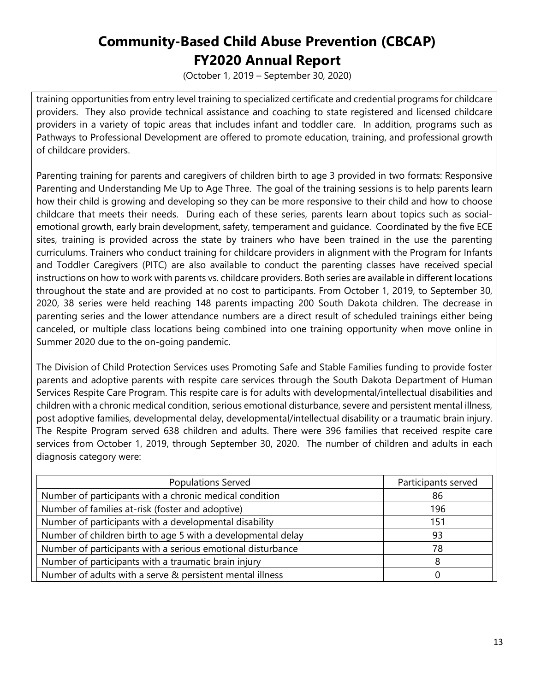(October 1, 2019 – September 30, 2020)

training opportunities from entry level training to specialized certificate and credential programs for childcare providers. They also provide technical assistance and coaching to state registered and licensed childcare providers in a variety of topic areas that includes infant and toddler care. In addition, programs such as Pathways to Professional Development are offered to promote education, training, and professional growth of childcare providers.

Parenting training for parents and caregivers of children birth to age 3 provided in two formats: Responsive Parenting and Understanding Me Up to Age Three. The goal of the training sessions is to help parents learn how their child is growing and developing so they can be more responsive to their child and how to choose childcare that meets their needs. During each of these series, parents learn about topics such as socialemotional growth, early brain development, safety, temperament and guidance. Coordinated by the five ECE sites, training is provided across the state by trainers who have been trained in the use the parenting curriculums. Trainers who conduct training for childcare providers in alignment with the Program for Infants and Toddler Caregivers (PITC) are also available to conduct the parenting classes have received special instructions on how to work with parents vs. childcare providers. Both series are available in different locations throughout the state and are provided at no cost to participants. From October 1, 2019, to September 30, 2020, 38 series were held reaching 148 parents impacting 200 South Dakota children. The decrease in parenting series and the lower attendance numbers are a direct result of scheduled trainings either being canceled, or multiple class locations being combined into one training opportunity when move online in Summer 2020 due to the on-going pandemic.

The Division of Child Protection Services uses Promoting Safe and Stable Families funding to provide foster parents and adoptive parents with respite care services through the South Dakota Department of Human Services Respite Care Program. This respite care is for adults with developmental/intellectual disabilities and children with a chronic medical condition, serious emotional disturbance, severe and persistent mental illness, post adoptive families, developmental delay, developmental/intellectual disability or a traumatic brain injury. The Respite Program served 638 children and adults. There were 396 families that received respite care services from October 1, 2019, through September 30, 2020. The number of children and adults in each diagnosis category were:

| <b>Populations Served</b>                                    | Participants served |
|--------------------------------------------------------------|---------------------|
| Number of participants with a chronic medical condition      | 86                  |
| Number of families at-risk (foster and adoptive)             | 196                 |
| Number of participants with a developmental disability       | 151                 |
| Number of children birth to age 5 with a developmental delay | 93                  |
| Number of participants with a serious emotional disturbance  | 78                  |
| Number of participants with a traumatic brain injury         |                     |
| Number of adults with a serve & persistent mental illness    |                     |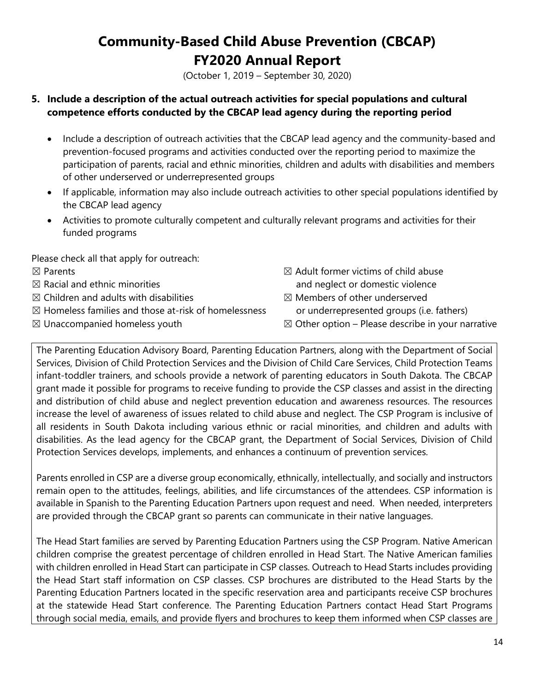(October 1, 2019 – September 30, 2020)

#### **5. Include a description of the actual outreach activities for special populations and cultural competence efforts conducted by the CBCAP lead agency during the reporting period**

- Include a description of outreach activities that the CBCAP lead agency and the community-based and prevention-focused programs and activities conducted over the reporting period to maximize the participation of parents, racial and ethnic minorities, children and adults with disabilities and members of other underserved or underrepresented groups
- If applicable, information may also include outreach activities to other special populations identified by the CBCAP lead agency
- Activities to promote culturally competent and culturally relevant programs and activities for their funded programs

Please check all that apply for outreach:

- 
- 
- $\boxtimes$  Children and adults with disabilities  $\boxtimes$  Members of other underserved
- $\boxtimes$  Homeless families and those at-risk of homelessness or underrepresented groups (i.e. fathers)
- 
- $\boxtimes$  Parents  $\boxtimes$  Parents and  $\boxtimes$  Adult former victims of child abuse  $\boxtimes$  Racial and ethnic minorities and neglect or domestic violence
	-
	-
- $\boxtimes$  Unaccompanied homeless youth  $\boxtimes$  Other option Please describe in your narrative

The Parenting Education Advisory Board, Parenting Education Partners, along with the Department of Social Services, Division of Child Protection Services and the Division of Child Care Services, Child Protection Teams infant-toddler trainers, and schools provide a network of parenting educators in South Dakota. The CBCAP grant made it possible for programs to receive funding to provide the CSP classes and assist in the directing and distribution of child abuse and neglect prevention education and awareness resources. The resources increase the level of awareness of issues related to child abuse and neglect. The CSP Program is inclusive of all residents in South Dakota including various ethnic or racial minorities, and children and adults with disabilities. As the lead agency for the CBCAP grant, the Department of Social Services, Division of Child Protection Services develops, implements, and enhances a continuum of prevention services.

Parents enrolled in CSP are a diverse group economically, ethnically, intellectually, and socially and instructors remain open to the attitudes, feelings, abilities, and life circumstances of the attendees. CSP information is available in Spanish to the Parenting Education Partners upon request and need. When needed, interpreters are provided through the CBCAP grant so parents can communicate in their native languages.

The Head Start families are served by Parenting Education Partners using the CSP Program. Native American children comprise the greatest percentage of children enrolled in Head Start. The Native American families with children enrolled in Head Start can participate in CSP classes. Outreach to Head Starts includes providing the Head Start staff information on CSP classes. CSP brochures are distributed to the Head Starts by the Parenting Education Partners located in the specific reservation area and participants receive CSP brochures at the statewide Head Start conference. The Parenting Education Partners contact Head Start Programs through social media, emails, and provide flyers and brochures to keep them informed when CSP classes are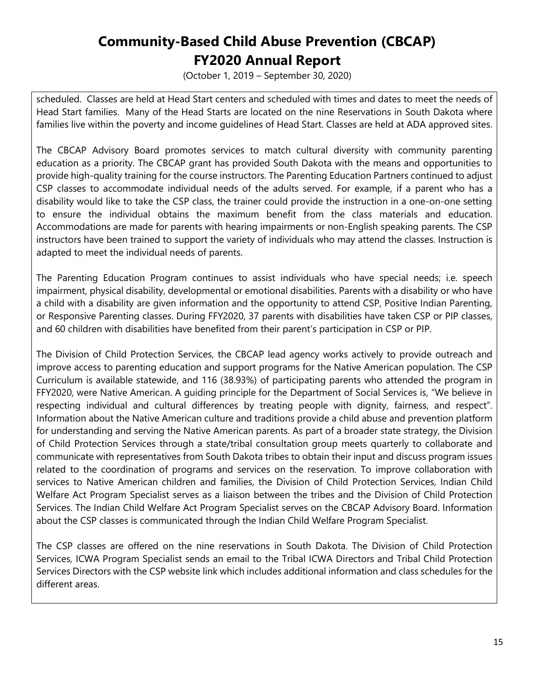(October 1, 2019 – September 30, 2020)

scheduled. Classes are held at Head Start centers and scheduled with times and dates to meet the needs of Head Start families. Many of the Head Starts are located on the nine Reservations in South Dakota where families live within the poverty and income guidelines of Head Start. Classes are held at ADA approved sites.

The CBCAP Advisory Board promotes services to match cultural diversity with community parenting education as a priority. The CBCAP grant has provided South Dakota with the means and opportunities to provide high-quality training for the course instructors. The Parenting Education Partners continued to adjust CSP classes to accommodate individual needs of the adults served. For example, if a parent who has a disability would like to take the CSP class, the trainer could provide the instruction in a one-on-one setting to ensure the individual obtains the maximum benefit from the class materials and education. Accommodations are made for parents with hearing impairments or non-English speaking parents. The CSP instructors have been trained to support the variety of individuals who may attend the classes. Instruction is adapted to meet the individual needs of parents.

The Parenting Education Program continues to assist individuals who have special needs; i.e. speech impairment, physical disability, developmental or emotional disabilities. Parents with a disability or who have a child with a disability are given information and the opportunity to attend CSP, Positive Indian Parenting, or Responsive Parenting classes. During FFY2020, 37 parents with disabilities have taken CSP or PIP classes, and 60 children with disabilities have benefited from their parent's participation in CSP or PIP.

The Division of Child Protection Services, the CBCAP lead agency works actively to provide outreach and improve access to parenting education and support programs for the Native American population. The CSP Curriculum is available statewide, and 116 (38.93%) of participating parents who attended the program in FFY2020, were Native American. A guiding principle for the Department of Social Services is, "We believe in respecting individual and cultural differences by treating people with dignity, fairness, and respect". Information about the Native American culture and traditions provide a child abuse and prevention platform for understanding and serving the Native American parents. As part of a broader state strategy, the Division of Child Protection Services through a state/tribal consultation group meets quarterly to collaborate and communicate with representatives from South Dakota tribes to obtain their input and discuss program issues related to the coordination of programs and services on the reservation. To improve collaboration with services to Native American children and families, the Division of Child Protection Services, Indian Child Welfare Act Program Specialist serves as a liaison between the tribes and the Division of Child Protection Services. The Indian Child Welfare Act Program Specialist serves on the CBCAP Advisory Board. Information about the CSP classes is communicated through the Indian Child Welfare Program Specialist.

The CSP classes are offered on the nine reservations in South Dakota. The Division of Child Protection Services, ICWA Program Specialist sends an email to the Tribal ICWA Directors and Tribal Child Protection Services Directors with the CSP website link which includes additional information and class schedules for the different areas.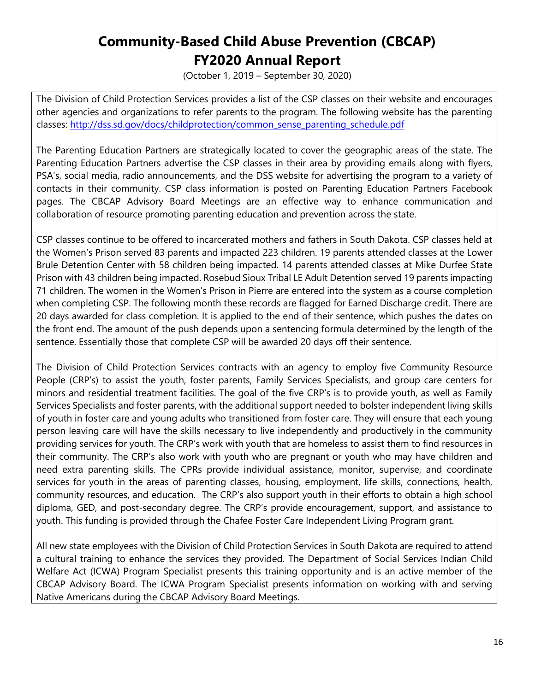(October 1, 2019 – September 30, 2020)

The Division of Child Protection Services provides a list of the CSP classes on their website and encourages other agencies and organizations to refer parents to the program. The following website has the parenting classes: [http://dss.sd.gov/docs/childprotection/common\\_sense\\_parenting\\_schedule.pdf](http://dss.sd.gov/docs/childprotection/common_sense_parenting_schedule.pdf)

The Parenting Education Partners are strategically located to cover the geographic areas of the state. The Parenting Education Partners advertise the CSP classes in their area by providing emails along with flyers, PSA's, social media, radio announcements, and the DSS website for advertising the program to a variety of contacts in their community. CSP class information is posted on Parenting Education Partners Facebook pages. The CBCAP Advisory Board Meetings are an effective way to enhance communication and collaboration of resource promoting parenting education and prevention across the state.

CSP classes continue to be offered to incarcerated mothers and fathers in South Dakota. CSP classes held at the Women's Prison served 83 parents and impacted 223 children. 19 parents attended classes at the Lower Brule Detention Center with 58 children being impacted. 14 parents attended classes at Mike Durfee State Prison with 43 children being impacted. Rosebud Sioux Tribal LE Adult Detention served 19 parents impacting 71 children. The women in the Women's Prison in Pierre are entered into the system as a course completion when completing CSP. The following month these records are flagged for Earned Discharge credit. There are 20 days awarded for class completion. It is applied to the end of their sentence, which pushes the dates on the front end. The amount of the push depends upon a sentencing formula determined by the length of the sentence. Essentially those that complete CSP will be awarded 20 days off their sentence.

The Division of Child Protection Services contracts with an agency to employ five Community Resource People (CRP's) to assist the youth, foster parents, Family Services Specialists, and group care centers for minors and residential treatment facilities. The goal of the five CRP's is to provide youth, as well as Family Services Specialists and foster parents, with the additional support needed to bolster independent living skills of youth in foster care and young adults who transitioned from foster care. They will ensure that each young person leaving care will have the skills necessary to live independently and productively in the community providing services for youth. The CRP's work with youth that are homeless to assist them to find resources in their community. The CRP's also work with youth who are pregnant or youth who may have children and need extra parenting skills. The CPRs provide individual assistance, monitor, supervise, and coordinate services for youth in the areas of parenting classes, housing, employment, life skills, connections, health, community resources, and education. The CRP's also support youth in their efforts to obtain a high school diploma, GED, and post-secondary degree. The CRP's provide encouragement, support, and assistance to youth. This funding is provided through the Chafee Foster Care Independent Living Program grant.

All new state employees with the Division of Child Protection Services in South Dakota are required to attend a cultural training to enhance the services they provided. The Department of Social Services Indian Child Welfare Act (ICWA) Program Specialist presents this training opportunity and is an active member of the CBCAP Advisory Board. The ICWA Program Specialist presents information on working with and serving Native Americans during the CBCAP Advisory Board Meetings.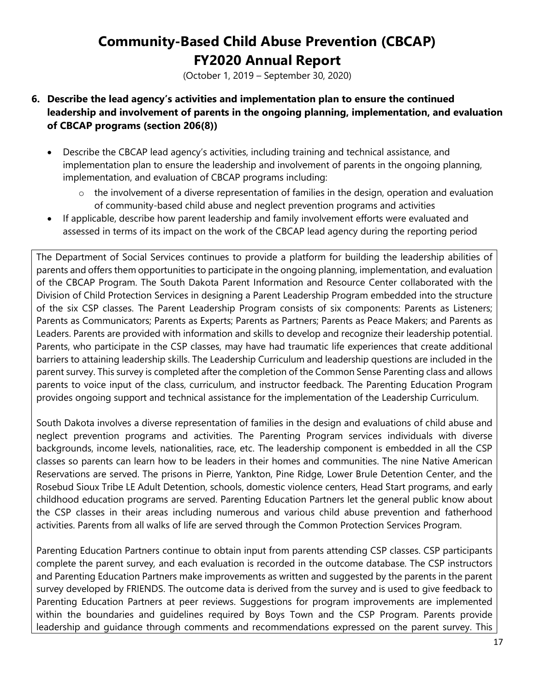(October 1, 2019 – September 30, 2020)

- **6. Describe the lead agency's activities and implementation plan to ensure the continued leadership and involvement of parents in the ongoing planning, implementation, and evaluation of CBCAP programs (section 206(8))** 
	- Describe the CBCAP lead agency's activities, including training and technical assistance, and implementation plan to ensure the leadership and involvement of parents in the ongoing planning, implementation, and evaluation of CBCAP programs including:
		- o the involvement of a diverse representation of families in the design, operation and evaluation of community-based child abuse and neglect prevention programs and activities
	- If applicable, describe how parent leadership and family involvement efforts were evaluated and assessed in terms of its impact on the work of the CBCAP lead agency during the reporting period

The Department of Social Services continues to provide a platform for building the leadership abilities of parents and offers them opportunities to participate in the ongoing planning, implementation, and evaluation of the CBCAP Program. The South Dakota Parent Information and Resource Center collaborated with the Division of Child Protection Services in designing a Parent Leadership Program embedded into the structure of the six CSP classes. The Parent Leadership Program consists of six components: Parents as Listeners; Parents as Communicators; Parents as Experts; Parents as Partners; Parents as Peace Makers; and Parents as Leaders. Parents are provided with information and skills to develop and recognize their leadership potential. Parents, who participate in the CSP classes, may have had traumatic life experiences that create additional barriers to attaining leadership skills. The Leadership Curriculum and leadership questions are included in the parent survey. This survey is completed after the completion of the Common Sense Parenting class and allows parents to voice input of the class, curriculum, and instructor feedback. The Parenting Education Program provides ongoing support and technical assistance for the implementation of the Leadership Curriculum.

South Dakota involves a diverse representation of families in the design and evaluations of child abuse and neglect prevention programs and activities. The Parenting Program services individuals with diverse backgrounds, income levels, nationalities, race, etc. The leadership component is embedded in all the CSP classes so parents can learn how to be leaders in their homes and communities. The nine Native American Reservations are served. The prisons in Pierre, Yankton, Pine Ridge, Lower Brule Detention Center, and the Rosebud Sioux Tribe LE Adult Detention, schools, domestic violence centers, Head Start programs, and early childhood education programs are served. Parenting Education Partners let the general public know about the CSP classes in their areas including numerous and various child abuse prevention and fatherhood activities. Parents from all walks of life are served through the Common Protection Services Program.

Parenting Education Partners continue to obtain input from parents attending CSP classes. CSP participants complete the parent survey*,* and each evaluation is recorded in the outcome database. The CSP instructors and Parenting Education Partners make improvements as written and suggested by the parents in the parent survey developed by FRIENDS. The outcome data is derived from the survey and is used to give feedback to Parenting Education Partners at peer reviews. Suggestions for program improvements are implemented within the boundaries and guidelines required by Boys Town and the CSP Program. Parents provide leadership and guidance through comments and recommendations expressed on the parent survey. This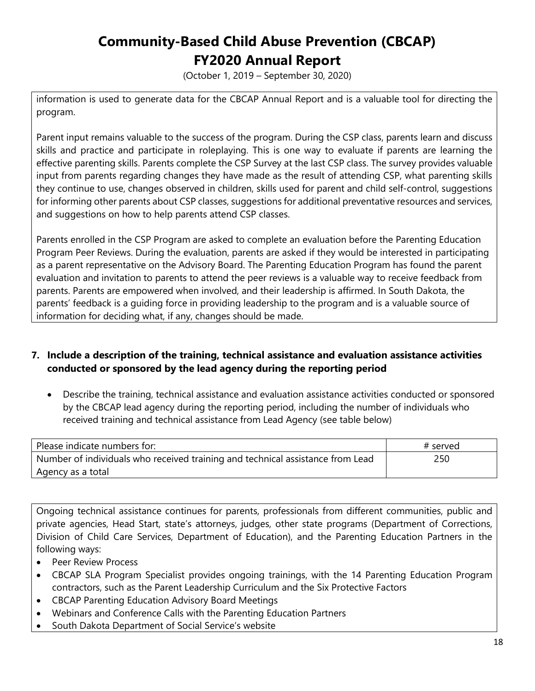(October 1, 2019 – September 30, 2020)

information is used to generate data for the CBCAP Annual Report and is a valuable tool for directing the program.

Parent input remains valuable to the success of the program. During the CSP class, parents learn and discuss skills and practice and participate in roleplaying. This is one way to evaluate if parents are learning the effective parenting skills. Parents complete the CSP Survey at the last CSP class. The survey provides valuable input from parents regarding changes they have made as the result of attending CSP, what parenting skills they continue to use, changes observed in children, skills used for parent and child self-control, suggestions for informing other parents about CSP classes, suggestions for additional preventative resources and services, and suggestions on how to help parents attend CSP classes.

Parents enrolled in the CSP Program are asked to complete an evaluation before the Parenting Education Program Peer Reviews. During the evaluation, parents are asked if they would be interested in participating as a parent representative on the Advisory Board. The Parenting Education Program has found the parent evaluation and invitation to parents to attend the peer reviews is a valuable way to receive feedback from parents. Parents are empowered when involved, and their leadership is affirmed. In South Dakota, the parents' feedback is a guiding force in providing leadership to the program and is a valuable source of information for deciding what, if any, changes should be made.

#### **7. Include a description of the training, technical assistance and evaluation assistance activities conducted or sponsored by the lead agency during the reporting period**

• Describe the training, technical assistance and evaluation assistance activities conducted or sponsored by the CBCAP lead agency during the reporting period, including the number of individuals who received training and technical assistance from Lead Agency (see table below)

| Please indicate numbers for:                                                   | # served |
|--------------------------------------------------------------------------------|----------|
| Number of individuals who received training and technical assistance from Lead | 250      |
| Agency as a total                                                              |          |

Ongoing technical assistance continues for parents, professionals from different communities, public and private agencies, Head Start, state's attorneys, judges, other state programs (Department of Corrections, Division of Child Care Services, Department of Education), and the Parenting Education Partners in the following ways:

- Peer Review Process
- CBCAP SLA Program Specialist provides ongoing trainings, with the 14 Parenting Education Program contractors, such as the Parent Leadership Curriculum and the Six Protective Factors
- CBCAP Parenting Education Advisory Board Meetings
- Webinars and Conference Calls with the Parenting Education Partners
- South Dakota Department of Social Service's website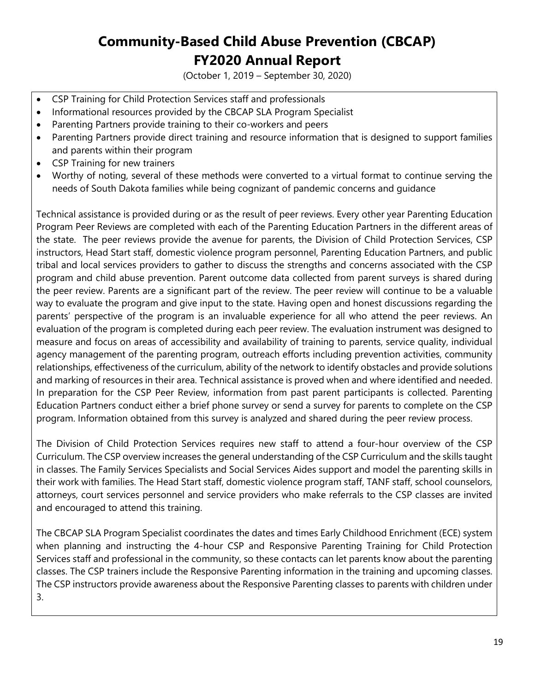(October 1, 2019 – September 30, 2020)

- CSP Training for Child Protection Services staff and professionals
- Informational resources provided by the CBCAP SLA Program Specialist
- Parenting Partners provide training to their co-workers and peers
- Parenting Partners provide direct training and resource information that is designed to support families and parents within their program
- CSP Training for new trainers
- Worthy of noting, several of these methods were converted to a virtual format to continue serving the needs of South Dakota families while being cognizant of pandemic concerns and guidance

Technical assistance is provided during or as the result of peer reviews. Every other year Parenting Education Program Peer Reviews are completed with each of the Parenting Education Partners in the different areas of the state. The peer reviews provide the avenue for parents, the Division of Child Protection Services, CSP instructors, Head Start staff, domestic violence program personnel, Parenting Education Partners, and public tribal and local services providers to gather to discuss the strengths and concerns associated with the CSP program and child abuse prevention. Parent outcome data collected from parent surveys is shared during the peer review. Parents are a significant part of the review. The peer review will continue to be a valuable way to evaluate the program and give input to the state. Having open and honest discussions regarding the parents' perspective of the program is an invaluable experience for all who attend the peer reviews. An evaluation of the program is completed during each peer review. The evaluation instrument was designed to measure and focus on areas of accessibility and availability of training to parents, service quality, individual agency management of the parenting program, outreach efforts including prevention activities, community relationships, effectiveness of the curriculum, ability of the network to identify obstacles and provide solutions and marking of resources in their area. Technical assistance is proved when and where identified and needed. In preparation for the CSP Peer Review, information from past parent participants is collected. Parenting Education Partners conduct either a brief phone survey or send a survey for parents to complete on the CSP program. Information obtained from this survey is analyzed and shared during the peer review process.

The Division of Child Protection Services requires new staff to attend a four-hour overview of the CSP Curriculum. The CSP overview increases the general understanding of the CSP Curriculum and the skills taught in classes. The Family Services Specialists and Social Services Aides support and model the parenting skills in their work with families. The Head Start staff, domestic violence program staff, TANF staff, school counselors, attorneys, court services personnel and service providers who make referrals to the CSP classes are invited and encouraged to attend this training.

The CBCAP SLA Program Specialist coordinates the dates and times Early Childhood Enrichment (ECE) system when planning and instructing the 4-hour CSP and Responsive Parenting Training for Child Protection Services staff and professional in the community, so these contacts can let parents know about the parenting classes. The CSP trainers include the Responsive Parenting information in the training and upcoming classes. The CSP instructors provide awareness about the Responsive Parenting classes to parents with children under 3.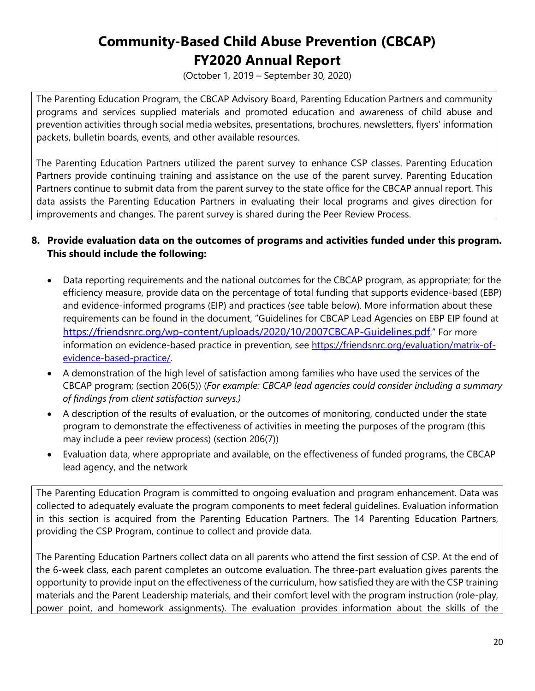(October 1, 2019 – September 30, 2020)

The Parenting Education Program, the CBCAP Advisory Board, Parenting Education Partners and community programs and services supplied materials and promoted education and awareness of child abuse and prevention activities through social media websites, presentations, brochures, newsletters, flyers' information packets, bulletin boards, events, and other available resources.

The Parenting Education Partners utilized the parent survey to enhance CSP classes. Parenting Education Partners provide continuing training and assistance on the use of the parent survey. Parenting Education Partners continue to submit data from the parent survey to the state office for the CBCAP annual report. This data assists the Parenting Education Partners in evaluating their local programs and gives direction for improvements and changes. The parent survey is shared during the Peer Review Process.

#### **8. Provide evaluation data on the outcomes of programs and activities funded under this program. This should include the following:**

- Data reporting requirements and the national outcomes for the CBCAP program, as appropriate; for the efficiency measure, provide data on the percentage of total funding that supports evidence-based (EBP) and evidence-informed programs (EIP) and practices (see table below). More information about these requirements can be found in the document, "Guidelines for CBCAP Lead Agencies on EBP EIP found at [https://friendsnrc.org/wp-content/uploads/2020/10/2007CBCAP-Guidelines.pdf."](https://friendsnrc.org/wp-content/uploads/2020/10/2007CBCAP-Guidelines.pdf) For more information on evidence-based practice in prevention, see [https://friendsnrc.org/evaluation/matrix-of](https://friendsnrc.org/evaluation/matrix-of-evidence-based-practice/)[evidence-based-practice/.](https://friendsnrc.org/evaluation/matrix-of-evidence-based-practice/)
- A demonstration of the high level of satisfaction among families who have used the services of the CBCAP program; (section 206(5)) (*For example: CBCAP lead agencies could consider including a summary of findings from client satisfaction surveys.)*
- A description of the results of evaluation, or the outcomes of monitoring, conducted under the state program to demonstrate the effectiveness of activities in meeting the purposes of the program (this may include a peer review process) (section 206(7))
- Evaluation data, where appropriate and available, on the effectiveness of funded programs, the CBCAP lead agency, and the network

The Parenting Education Program is committed to ongoing evaluation and program enhancement. Data was collected to adequately evaluate the program components to meet federal guidelines. Evaluation information in this section is acquired from the Parenting Education Partners. The 14 Parenting Education Partners, providing the CSP Program, continue to collect and provide data.

The Parenting Education Partners collect data on all parents who attend the first session of CSP. At the end of the 6-week class, each parent completes an outcome evaluation. The three-part evaluation gives parents the opportunity to provide input on the effectiveness of the curriculum, how satisfied they are with the CSP training materials and the Parent Leadership materials, and their comfort level with the program instruction (role-play, power point, and homework assignments). The evaluation provides information about the skills of the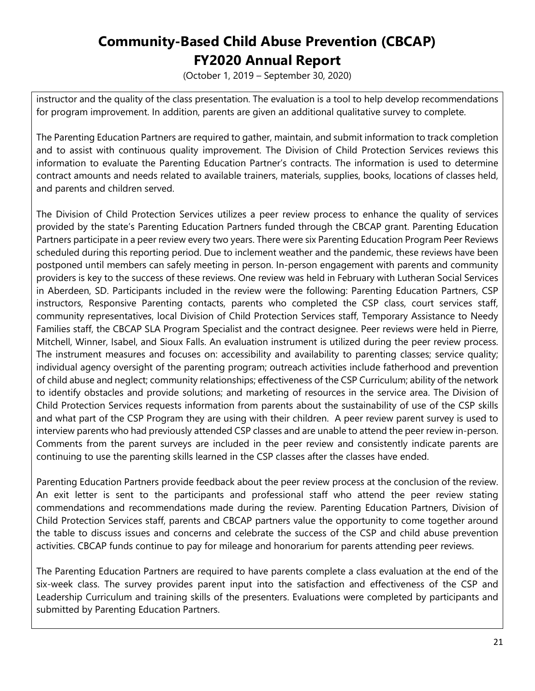(October 1, 2019 – September 30, 2020)

instructor and the quality of the class presentation. The evaluation is a tool to help develop recommendations for program improvement. In addition, parents are given an additional qualitative survey to complete.

The Parenting Education Partners are required to gather, maintain, and submit information to track completion and to assist with continuous quality improvement. The Division of Child Protection Services reviews this information to evaluate the Parenting Education Partner's contracts. The information is used to determine contract amounts and needs related to available trainers, materials, supplies, books, locations of classes held, and parents and children served.

The Division of Child Protection Services utilizes a peer review process to enhance the quality of services provided by the state's Parenting Education Partners funded through the CBCAP grant. Parenting Education Partners participate in a peer review every two years. There were six Parenting Education Program Peer Reviews scheduled during this reporting period. Due to inclement weather and the pandemic, these reviews have been postponed until members can safely meeting in person. In-person engagement with parents and community providers is key to the success of these reviews. One review was held in February with Lutheran Social Services in Aberdeen, SD. Participants included in the review were the following: Parenting Education Partners, CSP instructors, Responsive Parenting contacts, parents who completed the CSP class, court services staff, community representatives, local Division of Child Protection Services staff, Temporary Assistance to Needy Families staff, the CBCAP SLA Program Specialist and the contract designee. Peer reviews were held in Pierre, Mitchell, Winner, Isabel, and Sioux Falls. An evaluation instrument is utilized during the peer review process. The instrument measures and focuses on: accessibility and availability to parenting classes; service quality; individual agency oversight of the parenting program; outreach activities include fatherhood and prevention of child abuse and neglect; community relationships; effectiveness of the CSP Curriculum; ability of the network to identify obstacles and provide solutions; and marketing of resources in the service area. The Division of Child Protection Services requests information from parents about the sustainability of use of the CSP skills and what part of the CSP Program they are using with their children. A peer review parent survey is used to interview parents who had previously attended CSP classes and are unable to attend the peer review in-person. Comments from the parent surveys are included in the peer review and consistently indicate parents are continuing to use the parenting skills learned in the CSP classes after the classes have ended.

Parenting Education Partners provide feedback about the peer review process at the conclusion of the review. An exit letter is sent to the participants and professional staff who attend the peer review stating commendations and recommendations made during the review. Parenting Education Partners, Division of Child Protection Services staff, parents and CBCAP partners value the opportunity to come together around the table to discuss issues and concerns and celebrate the success of the CSP and child abuse prevention activities. CBCAP funds continue to pay for mileage and honorarium for parents attending peer reviews.

The Parenting Education Partners are required to have parents complete a class evaluation at the end of the six-week class. The survey provides parent input into the satisfaction and effectiveness of the CSP and Leadership Curriculum and training skills of the presenters. Evaluations were completed by participants and submitted by Parenting Education Partners.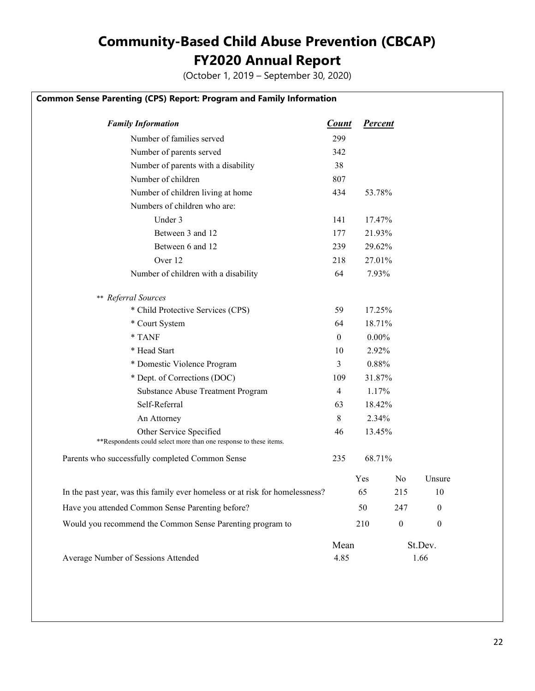(October 1, 2019 – September 30, 2020)

#### **Common Sense Parenting (CPS) Report: Program and Family Information**

| <b>Family Information</b>                                                                    | <b>Count</b>   | <b>Percent</b> |                  |                  |
|----------------------------------------------------------------------------------------------|----------------|----------------|------------------|------------------|
| Number of families served                                                                    | 299            |                |                  |                  |
| Number of parents served                                                                     | 342            |                |                  |                  |
| Number of parents with a disability                                                          | 38             |                |                  |                  |
| Number of children                                                                           | 807            |                |                  |                  |
| Number of children living at home                                                            | 434            | 53.78%         |                  |                  |
| Numbers of children who are:                                                                 |                |                |                  |                  |
| Under 3                                                                                      | 141            | 17.47%         |                  |                  |
| Between 3 and 12                                                                             | 177            | 21.93%         |                  |                  |
| Between 6 and 12                                                                             | 239            | 29.62%         |                  |                  |
| Over 12                                                                                      | 218            | 27.01%         |                  |                  |
| Number of children with a disability                                                         | 64             | 7.93%          |                  |                  |
| ** Referral Sources                                                                          |                |                |                  |                  |
| * Child Protective Services (CPS)                                                            | 59             | 17.25%         |                  |                  |
| * Court System                                                                               | 64             | 18.71%         |                  |                  |
| * TANF                                                                                       | $\mathbf{0}$   | $0.00\%$       |                  |                  |
| * Head Start                                                                                 | 10             | 2.92%          |                  |                  |
| * Domestic Violence Program                                                                  | 3              | 0.88%          |                  |                  |
| * Dept. of Corrections (DOC)                                                                 | 109            | 31.87%         |                  |                  |
| Substance Abuse Treatment Program                                                            | $\overline{4}$ | 1.17%          |                  |                  |
| Self-Referral                                                                                | 63             | 18.42%         |                  |                  |
| An Attorney                                                                                  | 8              | 2.34%          |                  |                  |
| Other Service Specified<br>**Respondents could select more than one response to these items. | 46             | 13.45%         |                  |                  |
| Parents who successfully completed Common Sense                                              | 235            | 68.71%         |                  |                  |
|                                                                                              |                | Yes            | N <sub>o</sub>   | Unsure           |
| In the past year, was this family ever homeless or at risk for homelessness?                 |                | 65             | 215              | 10               |
| Have you attended Common Sense Parenting before?                                             |                | 50             | 247              | $\mathbf{0}$     |
| Would you recommend the Common Sense Parenting program to                                    |                | 210            | $\boldsymbol{0}$ | $\boldsymbol{0}$ |
|                                                                                              | Mean           |                |                  | St.Dev.          |
| Average Number of Sessions Attended                                                          | 4.85           |                |                  | 1.66             |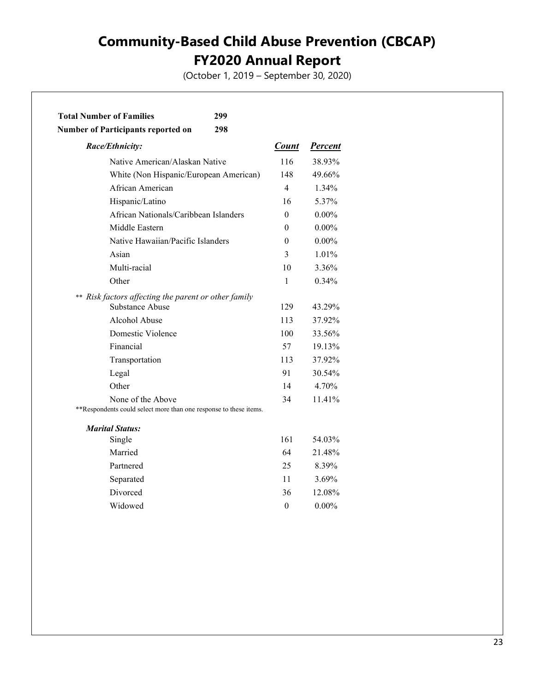(October 1, 2019 – September 30, 2020)

| <b>Total Number of Families</b><br>299                                                 |                  |                |
|----------------------------------------------------------------------------------------|------------------|----------------|
| <b>Number of Participants reported on</b><br>298                                       |                  |                |
| Race/Ethnicity:                                                                        | <b>Count</b>     | <b>Percent</b> |
| Native American/Alaskan Native                                                         | 116              | 38.93%         |
| White (Non Hispanic/European American)                                                 | 148              | 49.66%         |
| African American                                                                       | 4                | 1.34%          |
| Hispanic/Latino                                                                        | 16               | 5.37%          |
| African Nationals/Caribbean Islanders                                                  | $\theta$         | $0.00\%$       |
| Middle Eastern                                                                         | 0                | $0.00\%$       |
| Native Hawaiian/Pacific Islanders                                                      | $\theta$         | $0.00\%$       |
| Asian                                                                                  | 3                | 1.01%          |
| Multi-racial                                                                           | 10               | 3.36%          |
| Other                                                                                  | $\mathbf{1}$     | 0.34%          |
| ** Risk factors affecting the parent or other family                                   |                  |                |
| Substance Abuse                                                                        | 129              | 43.29%         |
| Alcohol Abuse                                                                          | 113              | 37.92%         |
| Domestic Violence                                                                      | 100              | 33.56%         |
| Financial                                                                              | 57               | 19.13%         |
| Transportation                                                                         | 113              | 37.92%         |
| Legal                                                                                  | 91               | 30.54%         |
| Other                                                                                  | 14               | 4.70%          |
| None of the Above<br>**Respondents could select more than one response to these items. | 34               | 11.41%         |
| <b>Marital Status:</b>                                                                 |                  |                |
| Single                                                                                 | 161              | 54.03%         |
| Married                                                                                | 64               | 21.48%         |
| Partnered                                                                              | 25               | 8.39%          |
| Separated                                                                              | 11               | 3.69%          |
| Divorced                                                                               | 36               | 12.08%         |
| Widowed                                                                                | $\boldsymbol{0}$ | $0.00\%$       |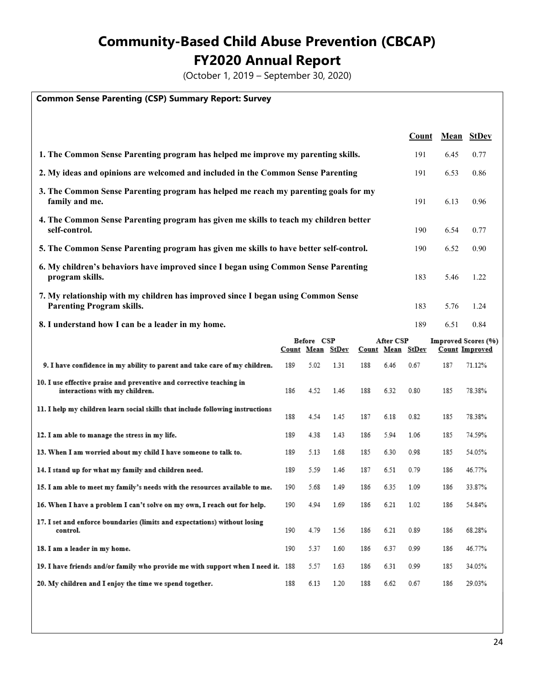(October 1, 2019 – September 30, 2020)

#### **Common Sense Parenting (CSP) Summary Report: Survey**

|                                                                                                                       | Count |      | Mean StDev |
|-----------------------------------------------------------------------------------------------------------------------|-------|------|------------|
| 1. The Common Sense Parenting program has helped me improve my parenting skills.                                      | 191   | 6.45 | 0.77       |
| 2. My ideas and opinions are welcomed and included in the Common Sense Parenting                                      | 191   | 6.53 | 0.86       |
| 3. The Common Sense Parenting program has helped me reach my parenting goals for my<br>family and me.                 | 191   | 6.13 | 0.96       |
| 4. The Common Sense Parenting program has given me skills to teach my children better<br>self-control.                | 190   | 6.54 | 0.77       |
| 5. The Common Sense Parenting program has given me skills to have better self-control.                                | 190   | 6.52 | 0.90       |
| 6. My children's behaviors have improved since I began using Common Sense Parenting<br>program skills.                | 183   | 5.46 | 1.22       |
| 7. My relationship with my children has improved since I began using Common Sense<br><b>Parenting Program skills.</b> | 183   | 5.76 | 1.24       |
| 8. I understand how I can be a leader in my home.                                                                     | 189   | 6.51 | 0.84       |

|                                                                                                        | Before CSP       |      | After CSP |                  | Improved Scores (%) |      |     |                       |
|--------------------------------------------------------------------------------------------------------|------------------|------|-----------|------------------|---------------------|------|-----|-----------------------|
|                                                                                                        | Count Mean StDev |      |           | Count Mean StDev |                     |      |     | <b>Count Improved</b> |
| 9. I have confidence in my ability to parent and take care of my children.                             | 189              | 5.02 | 1.31      | 188              | 6.46                | 0.67 | 187 | 71.12%                |
| 10. I use effective praise and preventive and corrective teaching in<br>interactions with my children. | 186              | 4.52 | 1.46      | 188              | 6.32                | 0.80 | 185 | 78.38%                |
| 11. I help my children learn social skills that include following instructions                         | 188              | 4.54 | 1.45      | 187              | 6.18                | 0.82 | 185 | 78.38%                |
| 12. I am able to manage the stress in my life.                                                         | 189              | 4.38 | 1.43      | 186              | 5.94                | 1.06 | 185 | 74.59%                |
| 13. When I am worried about my child I have someone to talk to.                                        | 189              | 5.13 | 1.68      | 185              | 6.30                | 0.98 | 185 | 54.05%                |
| 14. I stand up for what my family and children need.                                                   | 189              | 5.59 | 1.46      | 187              | 6.51                | 0.79 | 186 | 46.77%                |
| 15. I am able to meet my family's needs with the resources available to me.                            | 190              | 5.68 | 1.49      | 186              | 6.35                | 1.09 | 186 | 33.87%                |
| 16. When I have a problem I can't solve on my own, I reach out for help.                               | 190              | 4.94 | 1.69      | 186              | 6.21                | 1.02 | 186 | 54.84%                |
| 17. I set and enforce boundaries (limits and expectations) without losing<br>control.                  | 190              | 4.79 | 1.56      | 186              | 6.21                | 0.89 | 186 | 68.28%                |
| 18. I am a leader in my home.                                                                          | 190              | 5.37 | 1.60      | 186              | 6.37                | 0.99 | 186 | 46.77%                |
| 19. I have friends and/or family who provide me with support when I need it. 188                       |                  | 5.57 | 1.63      | 186              | 6.31                | 0.99 | 185 | 34.05%                |
| 20. My children and I enjoy the time we spend together.                                                | 188              | 6.13 | 1.20      | 188              | 6.62                | 0.67 | 186 | 29.03%                |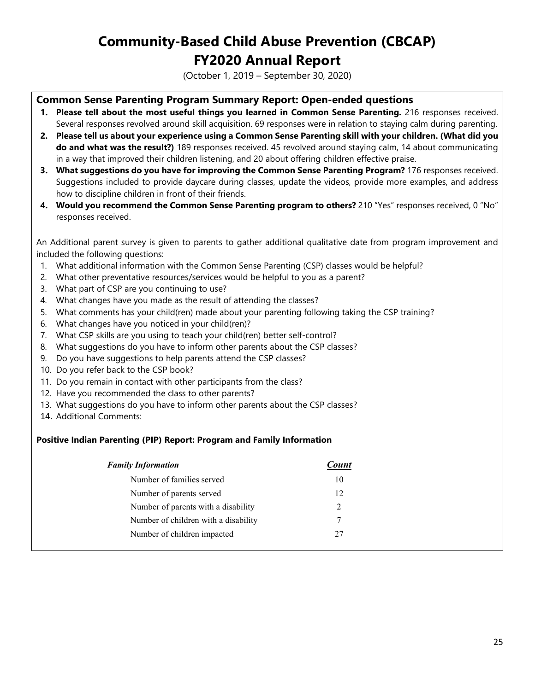(October 1, 2019 – September 30, 2020)

#### **Common Sense Parenting Program Summary Report: Open-ended questions**

- **1. Please tell about the most useful things you learned in Common Sense Parenting.** 216 responses received. Several responses revolved around skill acquisition. 69 responses were in relation to staying calm during parenting.
- **2. Please tell us about your experience using a Common Sense Parenting skill with your children. (What did you do and what was the result?)** 189 responses received. 45 revolved around staying calm, 14 about communicating in a way that improved their children listening, and 20 about offering children effective praise.
- **3. What suggestions do you have for improving the Common Sense Parenting Program?** 176 responses received. Suggestions included to provide daycare during classes, update the videos, provide more examples, and address how to discipline children in front of their friends.
- **4. Would you recommend the Common Sense Parenting program to others?** 210 "Yes" responses received, 0 "No" responses received.

An Additional parent survey is given to parents to gather additional qualitative date from program improvement and included the following questions:

- 1. What additional information with the Common Sense Parenting (CSP) classes would be helpful?
- 2. What other preventative resources/services would be helpful to you as a parent?
- 3. What part of CSP are you continuing to use?
- 4. What changes have you made as the result of attending the classes?
- 5. What comments has your child(ren) made about your parenting following taking the CSP training?
- 6. What changes have you noticed in your child(ren)?
- 7. What CSP skills are you using to teach your child(ren) better self-control?
- 8. What suggestions do you have to inform other parents about the CSP classes?
- 9. Do you have suggestions to help parents attend the CSP classes?
- 10. Do you refer back to the CSP book?
- 11. Do you remain in contact with other participants from the class?
- 12. Have you recommended the class to other parents?
- 13. What suggestions do you have to inform other parents about the CSP classes?
- 14. Additional Comments:

#### **Positive Indian Parenting (PIP) Report: Program and Family Information**

| <b>Family Information</b>            | Count |  |  |
|--------------------------------------|-------|--|--|
| Number of families served            | 10    |  |  |
| Number of parents served             | 12    |  |  |
| Number of parents with a disability  | 2     |  |  |
| Number of children with a disability |       |  |  |
| Number of children impacted          | 27    |  |  |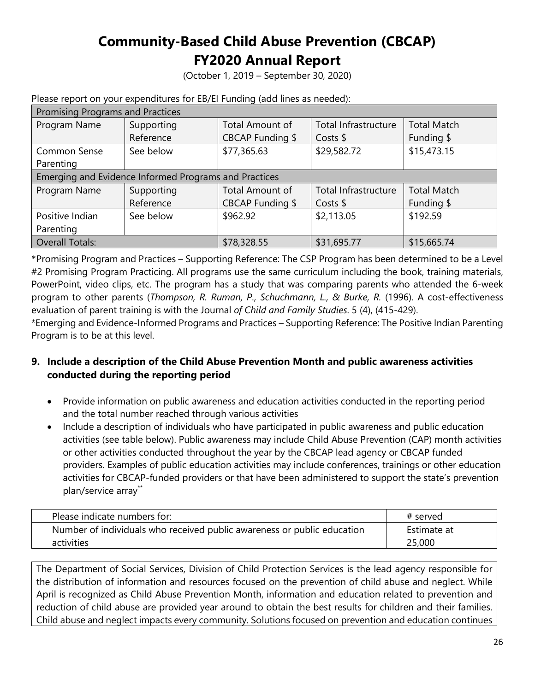(October 1, 2019 – September 30, 2020)

| <b>Promising Programs and Practices</b>               |            |                  |                      |                    |  |  |
|-------------------------------------------------------|------------|------------------|----------------------|--------------------|--|--|
| Program Name                                          | Supporting | Total Amount of  | Total Infrastructure | <b>Total Match</b> |  |  |
|                                                       | Reference  | CBCAP Funding \$ | Costs $$$            | Funding \$         |  |  |
| <b>Common Sense</b>                                   | See below  | \$77,365.63      | \$29,582.72          | \$15,473.15        |  |  |
| Parenting                                             |            |                  |                      |                    |  |  |
| Emerging and Evidence Informed Programs and Practices |            |                  |                      |                    |  |  |
| Program Name                                          | Supporting | Total Amount of  | Total Infrastructure | <b>Total Match</b> |  |  |
|                                                       | Reference  | CBCAP Funding \$ | Costs $$$            | Funding \$         |  |  |
| Positive Indian                                       | See below  | \$962.92         | \$2,113.05           | \$192.59           |  |  |
| Parenting                                             |            |                  |                      |                    |  |  |
| <b>Overall Totals:</b>                                |            | \$78,328.55      | \$31,695.77          | \$15,665.74        |  |  |

Please report on your expenditures for EB/EI Funding (add lines as needed):

\*Promising Program and Practices – Supporting Reference: The CSP Program has been determined to be a Level #2 Promising Program Practicing. All programs use the same curriculum including the book, training materials, PowerPoint, video clips, etc. The program has a study that was comparing parents who attended the 6-week program to other parents (*Thompson, R. Ruman, P., Schuchmann, L., & Burke, R.* (1996). A cost-effectiveness evaluation of parent training is with the Journal *of Child and Family Studies*. 5 (4), (415-429).

\*Emerging and Evidence-Informed Programs and Practices – Supporting Reference: The Positive Indian Parenting Program is to be at this level.

#### **9. Include a description of the Child Abuse Prevention Month and public awareness activities conducted during the reporting period**

- Provide information on public awareness and education activities conducted in the reporting period and the total number reached through various activities
- Include a description of individuals who have participated in public awareness and public education activities (see table below). Public awareness may include Child Abuse Prevention (CAP) month activities or other activities conducted throughout the year by the CBCAP lead agency or CBCAP funded providers. Examples of public education activities may include conferences, trainings or other education activities for CBCAP-funded providers or that have been administered to support the state's prevention plan/service array\*\*

| Please indicate numbers for:                                            | # served    |
|-------------------------------------------------------------------------|-------------|
| Number of individuals who received public awareness or public education | Estimate at |
| activities                                                              | 25,000      |

The Department of Social Services, Division of Child Protection Services is the lead agency responsible for the distribution of information and resources focused on the prevention of child abuse and neglect. While April is recognized as Child Abuse Prevention Month, information and education related to prevention and reduction of child abuse are provided year around to obtain the best results for children and their families. Child abuse and neglect impacts every community. Solutions focused on prevention and education continues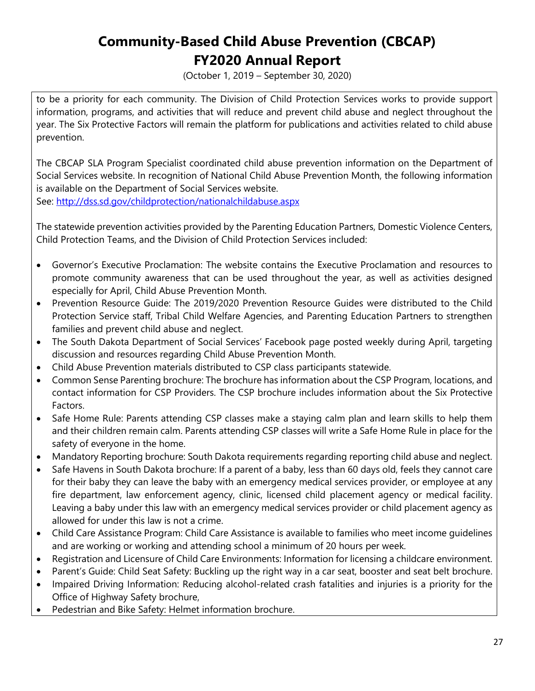(October 1, 2019 – September 30, 2020)

to be a priority for each community. The Division of Child Protection Services works to provide support information, programs, and activities that will reduce and prevent child abuse and neglect throughout the year. The Six Protective Factors will remain the platform for publications and activities related to child abuse prevention.

The CBCAP SLA Program Specialist coordinated child abuse prevention information on the Department of Social Services website. In recognition of National Child Abuse Prevention Month, the following information is available on the Department of Social Services website.

See:<http://dss.sd.gov/childprotection/nationalchildabuse.aspx>

The statewide prevention activities provided by the Parenting Education Partners, Domestic Violence Centers, Child Protection Teams, and the Division of Child Protection Services included:

- Governor's Executive Proclamation: The website contains the Executive Proclamation and resources to promote community awareness that can be used throughout the year, as well as activities designed especially for April, Child Abuse Prevention Month.
- Prevention Resource Guide: The 2019/2020 Prevention Resource Guides were distributed to the Child Protection Service staff, Tribal Child Welfare Agencies, and Parenting Education Partners to strengthen families and prevent child abuse and neglect.
- The South Dakota Department of Social Services' Facebook page posted weekly during April, targeting discussion and resources regarding Child Abuse Prevention Month.
- Child Abuse Prevention materials distributed to CSP class participants statewide.
- Common Sense Parenting brochure: The brochure has information about the CSP Program, locations, and contact information for CSP Providers. The CSP brochure includes information about the Six Protective Factors.
- Safe Home Rule: Parents attending CSP classes make a staying calm plan and learn skills to help them and their children remain calm. Parents attending CSP classes will write a Safe Home Rule in place for the safety of everyone in the home.
- Mandatory Reporting brochure: South Dakota requirements regarding reporting child abuse and neglect.
- Safe Havens in South Dakota brochure: If a parent of a baby, less than 60 days old, feels they cannot care for their baby they can leave the baby with an emergency medical services provider, or employee at any fire department, law enforcement agency, clinic, licensed child placement agency or medical facility. Leaving a baby under this law with an emergency medical services provider or child placement agency as allowed for under this law is not a crime.
- Child Care Assistance Program: Child Care Assistance is available to families who meet income guidelines and are working or working and attending school a minimum of 20 hours per week.
- Registration and Licensure of Child Care Environments: Information for licensing a childcare environment.
- Parent's Guide: Child Seat Safety: Buckling up the right way in a car seat, booster and seat belt brochure.
- Impaired Driving Information: Reducing alcohol-related crash fatalities and injuries is a priority for the Office of Highway Safety brochure,
- Pedestrian and Bike Safety: Helmet information brochure.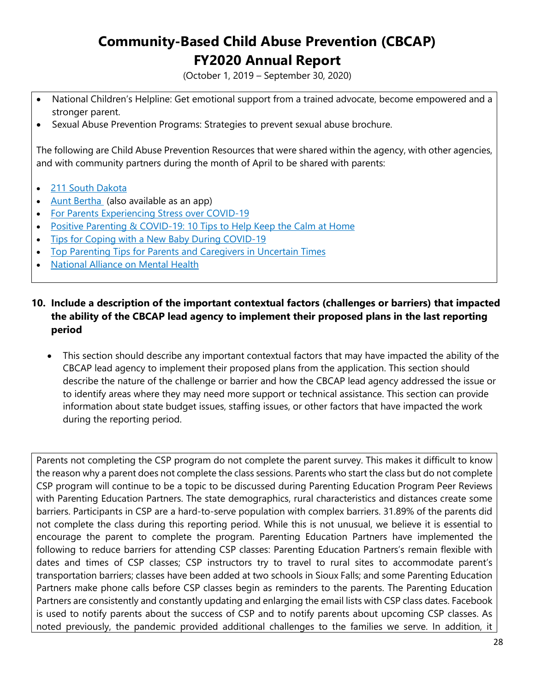(October 1, 2019 – September 30, 2020)

- National Children's Helpline: Get emotional support from a trained advocate, become empowered and a stronger parent.
- Sexual Abuse Prevention Programs: Strategies to prevent sexual abuse brochure.

The following are Child Abuse Prevention Resources that were shared within the agency, with other agencies, and with community partners during the month of April to be shared with parents:

- [211 South Dakota](https://www.helplinecenter.org/2-1-1-community-resources/)
- [Aunt Bertha](https://celebrate-children.us12.list-manage.com/track/click?u=9718008999105c2bc48a6f6c6&id=f87a5ad0eb&e=62746c5b71) (also available as an app)
- [For Parents Experiencing Stress over COVID-19](https://celebrate-children.us12.list-manage.com/track/click?u=9718008999105c2bc48a6f6c6&id=a69eb0ca90&e=62746c5b71)
- [Positive Parenting & COVID-19: 10 Tips to Help Keep the Calm at Home](https://celebrate-children.us12.list-manage.com/track/click?u=9718008999105c2bc48a6f6c6&id=cb260e98a7&e=62746c5b71)
- [Tips for Coping with a New Baby During COVID-19](https://celebrate-children.us12.list-manage.com/track/click?u=9718008999105c2bc48a6f6c6&id=434b34172b&e=62746c5b71)
- [Top Parenting Tips for Parents and Caregivers in Uncertain Times](https://celebrate-children.us12.list-manage.com/track/click?u=9718008999105c2bc48a6f6c6&id=760312a5e7&e=62746c5b71)
- [National Alliance on Mental Health](https://celebrate-children.us12.list-manage.com/track/click?u=9718008999105c2bc48a6f6c6&id=a163ff37de&e=62746c5b71)
- **10. Include a description of the important contextual factors (challenges or barriers) that impacted the ability of the CBCAP lead agency to implement their proposed plans in the last reporting period** 
	- This section should describe any important contextual factors that may have impacted the ability of the CBCAP lead agency to implement their proposed plans from the application. This section should describe the nature of the challenge or barrier and how the CBCAP lead agency addressed the issue or to identify areas where they may need more support or technical assistance. This section can provide information about state budget issues, staffing issues, or other factors that have impacted the work during the reporting period.

Parents not completing the CSP program do not complete the parent survey. This makes it difficult to know the reason why a parent does not complete the class sessions. Parents who start the class but do not complete CSP program will continue to be a topic to be discussed during Parenting Education Program Peer Reviews with Parenting Education Partners. The state demographics, rural characteristics and distances create some barriers. Participants in CSP are a hard-to-serve population with complex barriers. 31.89% of the parents did not complete the class during this reporting period. While this is not unusual, we believe it is essential to encourage the parent to complete the program. Parenting Education Partners have implemented the following to reduce barriers for attending CSP classes: Parenting Education Partners's remain flexible with dates and times of CSP classes; CSP instructors try to travel to rural sites to accommodate parent's transportation barriers; classes have been added at two schools in Sioux Falls; and some Parenting Education Partners make phone calls before CSP classes begin as reminders to the parents. The Parenting Education Partners are consistently and constantly updating and enlarging the email lists with CSP class dates. Facebook is used to notify parents about the success of CSP and to notify parents about upcoming CSP classes. As noted previously, the pandemic provided additional challenges to the families we serve. In addition, it